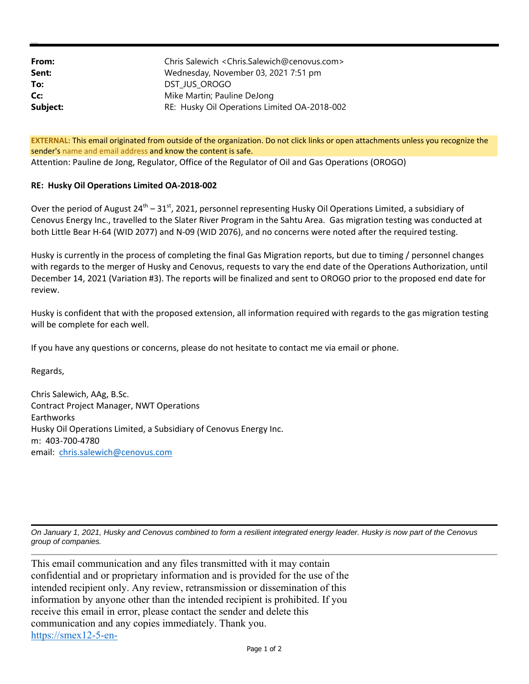| From:    | Chris Salewich < Chris. Salewich@cenovus.com > |
|----------|------------------------------------------------|
| Sent:    | Wednesday, November 03, 2021 7:51 pm           |
| To:      | DST JUS OROGO                                  |
| Cc:      | Mike Martin; Pauline DeJong                    |
| Subject: | RE: Husky Oil Operations Limited OA-2018-002   |

**EXTERNAL:** This email originated from outside of the organization. Do not click links or open attachments unless you recognize the sender's name and email address and know the content is safe. Attention: Pauline de Jong, Regulator, Office of the Regulator of Oil and Gas Operations (OROGO)

## **RE: Husky Oil Operations Limited OA‐2018‐002**

Over the period of August  $24^{th} - 31^{st}$ , 2021, personnel representing Husky Oil Operations Limited, a subsidiary of Cenovus Energy Inc., travelled to the Slater River Program in the Sahtu Area. Gas migration testing was conducted at both Little Bear H‐64 (WID 2077) and N‐09 (WID 2076), and no concerns were noted after the required testing.

Husky is currently in the process of completing the final Gas Migration reports, but due to timing / personnel changes with regards to the merger of Husky and Cenovus, requests to vary the end date of the Operations Authorization, until December 14, 2021 (Variation #3). The reports will be finalized and sent to OROGO prior to the proposed end date for review.

Husky is confident that with the proposed extension, all information required with regards to the gas migration testing will be complete for each well.

If you have any questions or concerns, please do not hesitate to contact me via email or phone.

Regards,

Chris Salewich, AAg, B.Sc. Contract Project Manager, NWT Operations Earthworks Husky Oil Operations Limited, a Subsidiary of Cenovus Energy Inc. m: 403‐700‐4780 email: chris.salewich@cenovus.com

*On January 1, 2021, Husky and Cenovus combined to form a resilient integrated energy leader. Husky is now part of the Cenovus group of companies.*

This email communication and any files transmitted with it may contain confidential and or proprietary information and is provided for the use of the intended recipient only. Any review, retransmission or dissemination of this information by anyone other than the intended recipient is prohibited. If you receive this email in error, please contact the sender and delete this communication and any copies immediately. Thank you. https://smex12-5-en-